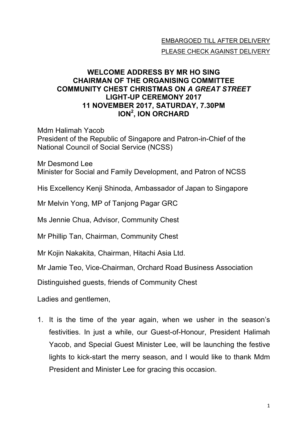## EMBARGOED TILL AFTER DELIVERY PLEASE CHECK AGAINST DELIVERY

## **WELCOME ADDRESS BY MR HO SING CHAIRMAN OF THE ORGANISING COMMITTEE COMMUNITY CHEST CHRISTMAS ON** *A GREAT STREET* **LIGHT-UP CEREMONY 2017 11 NOVEMBER 2017, SATURDAY, 7.30PM ION<sup>2</sup> , ION ORCHARD**

Mdm Halimah Yacob President of the Republic of Singapore and Patron-in-Chief of the National Council of Social Service (NCSS)

Mr Desmond Lee Minister for Social and Family Development, and Patron of NCSS

His Excellency Kenji Shinoda, Ambassador of Japan to Singapore

Mr Melvin Yong, MP of Tanjong Pagar GRC

Ms Jennie Chua, Advisor, Community Chest

Mr Phillip Tan, Chairman, Community Chest

Mr Kojin Nakakita, Chairman, Hitachi Asia Ltd.

Mr Jamie Teo, Vice-Chairman, Orchard Road Business Association

Distinguished guests, friends of Community Chest

Ladies and gentlemen,

1. It is the time of the year again, when we usher in the season's festivities. In just a while, our Guest-of-Honour, President Halimah Yacob, and Special Guest Minister Lee, will be launching the festive lights to kick-start the merry season, and I would like to thank Mdm President and Minister Lee for gracing this occasion.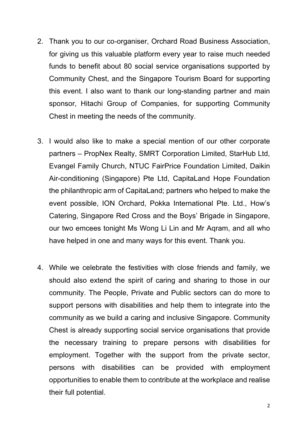- 2. Thank you to our co-organiser, Orchard Road Business Association, for giving us this valuable platform every year to raise much needed funds to benefit about 80 social service organisations supported by Community Chest, and the Singapore Tourism Board for supporting this event. I also want to thank our long-standing partner and main sponsor, Hitachi Group of Companies, for supporting Community Chest in meeting the needs of the community.
- 3. I would also like to make a special mention of our other corporate partners – PropNex Realty, SMRT Corporation Limited, StarHub Ltd, Evangel Family Church, NTUC FairPrice Foundation Limited, Daikin Air-conditioning (Singapore) Pte Ltd, CapitaLand Hope Foundation the philanthropic arm of CapitaLand; partners who helped to make the event possible, ION Orchard, Pokka International Pte. Ltd., How's Catering, Singapore Red Cross and the Boys' Brigade in Singapore, our two emcees tonight Ms Wong Li Lin and Mr Aqram, and all who have helped in one and many ways for this event. Thank you.
- 4. While we celebrate the festivities with close friends and family, we should also extend the spirit of caring and sharing to those in our community. The People, Private and Public sectors can do more to support persons with disabilities and help them to integrate into the community as we build a caring and inclusive Singapore. Community Chest is already supporting social service organisations that provide the necessary training to prepare persons with disabilities for employment. Together with the support from the private sector, persons with disabilities can be provided with employment opportunities to enable them to contribute at the workplace and realise their full potential.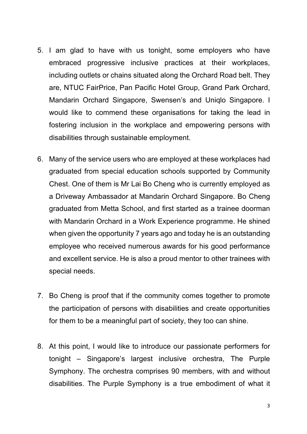- 5. I am glad to have with us tonight, some employers who have embraced progressive inclusive practices at their workplaces, including outlets or chains situated along the Orchard Road belt. They are, NTUC FairPrice, Pan Pacific Hotel Group, Grand Park Orchard, Mandarin Orchard Singapore, Swensen's and Uniqlo Singapore. I would like to commend these organisations for taking the lead in fostering inclusion in the workplace and empowering persons with disabilities through sustainable employment.
- 6. Many of the service users who are employed at these workplaces had graduated from special education schools supported by Community Chest. One of them is Mr Lai Bo Cheng who is currently employed as a Driveway Ambassador at Mandarin Orchard Singapore. Bo Cheng graduated from Metta School, and first started as a trainee doorman with Mandarin Orchard in a Work Experience programme. He shined when given the opportunity 7 years ago and today he is an outstanding employee who received numerous awards for his good performance and excellent service. He is also a proud mentor to other trainees with special needs.
- 7. Bo Cheng is proof that if the community comes together to promote the participation of persons with disabilities and create opportunities for them to be a meaningful part of society, they too can shine.
- 8. At this point, I would like to introduce our passionate performers for tonight – Singapore's largest inclusive orchestra, The Purple Symphony. The orchestra comprises 90 members, with and without disabilities. The Purple Symphony is a true embodiment of what it